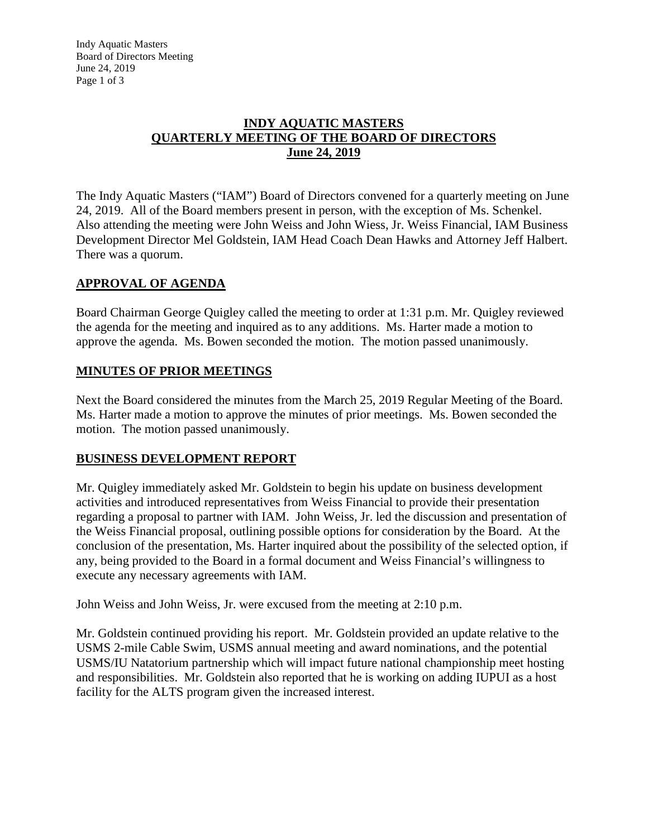#### **INDY AQUATIC MASTERS QUARTERLY MEETING OF THE BOARD OF DIRECTORS June 24, 2019**

The Indy Aquatic Masters ("IAM") Board of Directors convened for a quarterly meeting on June 24, 2019. All of the Board members present in person, with the exception of Ms. Schenkel. Also attending the meeting were John Weiss and John Wiess, Jr. Weiss Financial, IAM Business Development Director Mel Goldstein, IAM Head Coach Dean Hawks and Attorney Jeff Halbert. There was a quorum.

# **APPROVAL OF AGENDA**

Board Chairman George Quigley called the meeting to order at 1:31 p.m. Mr. Quigley reviewed the agenda for the meeting and inquired as to any additions. Ms. Harter made a motion to approve the agenda. Ms. Bowen seconded the motion. The motion passed unanimously.

## **MINUTES OF PRIOR MEETINGS**

Next the Board considered the minutes from the March 25, 2019 Regular Meeting of the Board. Ms. Harter made a motion to approve the minutes of prior meetings. Ms. Bowen seconded the motion. The motion passed unanimously.

## **BUSINESS DEVELOPMENT REPORT**

Mr. Quigley immediately asked Mr. Goldstein to begin his update on business development activities and introduced representatives from Weiss Financial to provide their presentation regarding a proposal to partner with IAM. John Weiss, Jr. led the discussion and presentation of the Weiss Financial proposal, outlining possible options for consideration by the Board. At the conclusion of the presentation, Ms. Harter inquired about the possibility of the selected option, if any, being provided to the Board in a formal document and Weiss Financial's willingness to execute any necessary agreements with IAM.

John Weiss and John Weiss, Jr. were excused from the meeting at 2:10 p.m.

Mr. Goldstein continued providing his report. Mr. Goldstein provided an update relative to the USMS 2-mile Cable Swim, USMS annual meeting and award nominations, and the potential USMS/IU Natatorium partnership which will impact future national championship meet hosting and responsibilities. Mr. Goldstein also reported that he is working on adding IUPUI as a host facility for the ALTS program given the increased interest.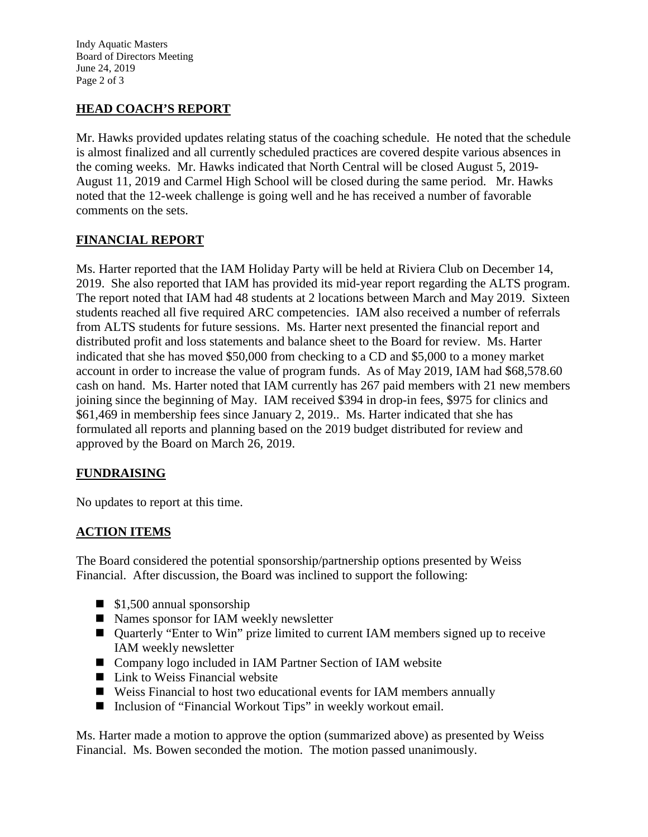Indy Aquatic Masters Board of Directors Meeting June 24, 2019 Page 2 of 3

# **HEAD COACH'S REPORT**

Mr. Hawks provided updates relating status of the coaching schedule. He noted that the schedule is almost finalized and all currently scheduled practices are covered despite various absences in the coming weeks. Mr. Hawks indicated that North Central will be closed August 5, 2019- August 11, 2019 and Carmel High School will be closed during the same period. Mr. Hawks noted that the 12-week challenge is going well and he has received a number of favorable comments on the sets.

# **FINANCIAL REPORT**

Ms. Harter reported that the IAM Holiday Party will be held at Riviera Club on December 14, 2019. She also reported that IAM has provided its mid-year report regarding the ALTS program. The report noted that IAM had 48 students at 2 locations between March and May 2019. Sixteen students reached all five required ARC competencies. IAM also received a number of referrals from ALTS students for future sessions. Ms. Harter next presented the financial report and distributed profit and loss statements and balance sheet to the Board for review. Ms. Harter indicated that she has moved \$50,000 from checking to a CD and \$5,000 to a money market account in order to increase the value of program funds. As of May 2019, IAM had \$68,578.60 cash on hand. Ms. Harter noted that IAM currently has 267 paid members with 21 new members joining since the beginning of May. IAM received \$394 in drop-in fees, \$975 for clinics and \$61,469 in membership fees since January 2, 2019.. Ms. Harter indicated that she has formulated all reports and planning based on the 2019 budget distributed for review and approved by the Board on March 26, 2019.

## **FUNDRAISING**

No updates to report at this time.

## **ACTION ITEMS**

The Board considered the potential sponsorship/partnership options presented by Weiss Financial. After discussion, the Board was inclined to support the following:

- $\blacksquare$  \$1,500 annual sponsorship
- Names sponsor for IAM weekly newsletter
- Quarterly "Enter to Win" prize limited to current IAM members signed up to receive IAM weekly newsletter
- Company logo included in IAM Partner Section of IAM website
- Link to Weiss Financial website
- Weiss Financial to host two educational events for IAM members annually
- Inclusion of "Financial Workout Tips" in weekly workout email.

Ms. Harter made a motion to approve the option (summarized above) as presented by Weiss Financial. Ms. Bowen seconded the motion. The motion passed unanimously.